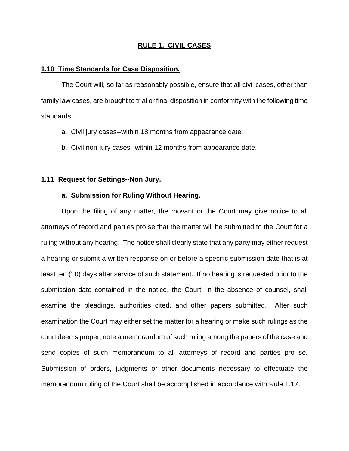# **RULE 1. CIVIL CASES**

#### **1.10 Time Standards for Case Disposition.**

The Court will, so far as reasonably possible, ensure that all civil cases, other than family law cases, are brought to trial or final disposition in conformity with the following time standards:

- a. Civil jury cases--within 18 months from appearance date.
- b. Civil non-jury cases--within 12 months from appearance date.

## **1.11 Request for Settings--Non Jury.**

## **a. Submission for Ruling Without Hearing.**

Upon the filing of any matter, the movant or the Court may give notice to all attorneys of record and parties pro se that the matter will be submitted to the Court for a ruling without any hearing. The notice shall clearly state that any party may either request a hearing or submit a written response on or before a specific submission date that is at least ten (10) days after service of such statement. If no hearing is requested prior to the submission date contained in the notice, the Court, in the absence of counsel, shall examine the pleadings, authorities cited, and other papers submitted. After such examination the Court may either set the matter for a hearing or make such rulings as the court deems proper, note a memorandum of such ruling among the papers of the case and send copies of such memorandum to all attorneys of record and parties pro se. Submission of orders, judgments or other documents necessary to effectuate the memorandum ruling of the Court shall be accomplished in accordance with Rule 1.17.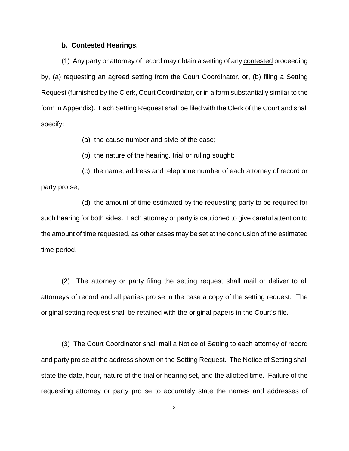### **b. Contested Hearings.**

(1) Any party or attorney of record may obtain a setting of any contested proceeding by, (a) requesting an agreed setting from the Court Coordinator, or, (b) filing a Setting Request (furnished by the Clerk, Court Coordinator, or in a form substantially similar to the form in Appendix). Each Setting Request shall be filed with the Clerk of the Court and shall specify:

(a) the cause number and style of the case;

(b) the nature of the hearing, trial or ruling sought;

(c) the name, address and telephone number of each attorney of record or party pro se;

(d) the amount of time estimated by the requesting party to be required for such hearing for both sides. Each attorney or party is cautioned to give careful attention to the amount of time requested, as other cases may be set at the conclusion of the estimated time period.

(2) The attorney or party filing the setting request shall mail or deliver to all attorneys of record and all parties pro se in the case a copy of the setting request. The original setting request shall be retained with the original papers in the Court's file.

(3) The Court Coordinator shall mail a Notice of Setting to each attorney of record and party pro se at the address shown on the Setting Request. The Notice of Setting shall state the date, hour, nature of the trial or hearing set, and the allotted time. Failure of the requesting attorney or party pro se to accurately state the names and addresses of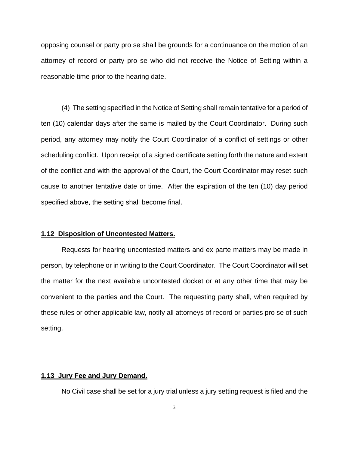opposing counsel or party pro se shall be grounds for a continuance on the motion of an attorney of record or party pro se who did not receive the Notice of Setting within a reasonable time prior to the hearing date.

(4) The setting specified in the Notice of Setting shall remain tentative for a period of ten (10) calendar days after the same is mailed by the Court Coordinator. During such period, any attorney may notify the Court Coordinator of a conflict of settings or other scheduling conflict. Upon receipt of a signed certificate setting forth the nature and extent of the conflict and with the approval of the Court, the Court Coordinator may reset such cause to another tentative date or time. After the expiration of the ten (10) day period specified above, the setting shall become final.

#### **1.12 Disposition of Uncontested Matters.**

Requests for hearing uncontested matters and ex parte matters may be made in person, by telephone or in writing to the Court Coordinator. The Court Coordinator will set the matter for the next available uncontested docket or at any other time that may be convenient to the parties and the Court. The requesting party shall, when required by these rules or other applicable law, notify all attorneys of record or parties pro se of such setting.

# **1.13 Jury Fee and Jury Demand.**

No Civil case shall be set for a jury trial unless a jury setting request is filed and the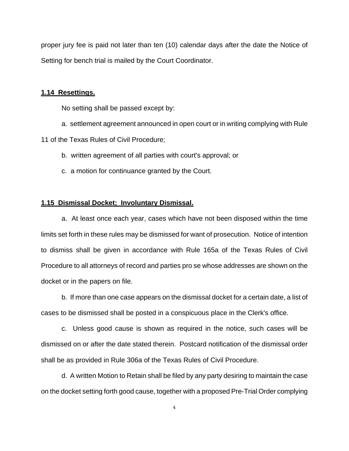proper jury fee is paid not later than ten (10) calendar days after the date the Notice of Setting for bench trial is mailed by the Court Coordinator.

### **1.14 Resettings.**

No setting shall be passed except by:

a. settlement agreement announced in open court or in writing complying with Rule

11 of the Texas Rules of Civil Procedure;

- b. written agreement of all parties with court's approval; or
- c. a motion for continuance granted by the Court.

### **1.15 Dismissal Docket; Involuntary Dismissal.**

a. At least once each year, cases which have not been disposed within the time limits set forth in these rules may be dismissed for want of prosecution. Notice of intention to dismiss shall be given in accordance with Rule 165a of the Texas Rules of Civil Procedure to all attorneys of record and parties pro se whose addresses are shown on the docket or in the papers on file.

b. If more than one case appears on the dismissal docket for a certain date, a list of cases to be dismissed shall be posted in a conspicuous place in the Clerk's office.

c. Unless good cause is shown as required in the notice, such cases will be dismissed on or after the date stated therein. Postcard notification of the dismissal order shall be as provided in Rule 306a of the Texas Rules of Civil Procedure.

d. A written Motion to Retain shall be filed by any party desiring to maintain the case on the docket setting forth good cause, together with a proposed Pre-Trial Order complying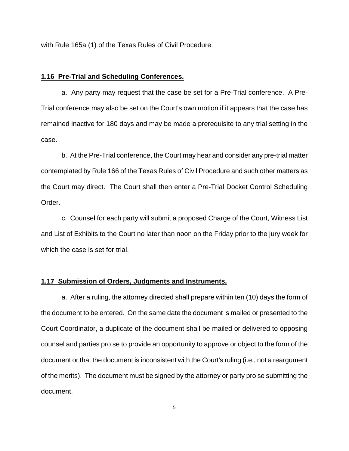with Rule 165a (1) of the Texas Rules of Civil Procedure.

#### **1.16 Pre-Trial and Scheduling Conferences.**

a. Any party may request that the case be set for a Pre-Trial conference. A Pre-Trial conference may also be set on the Court's own motion if it appears that the case has remained inactive for 180 days and may be made a prerequisite to any trial setting in the case.

b. At the Pre-Trial conference, the Court may hear and consider any pre-trial matter contemplated by Rule 166 of the Texas Rules of Civil Procedure and such other matters as the Court may direct. The Court shall then enter a Pre-Trial Docket Control Scheduling Order.

c. Counsel for each party will submit a proposed Charge of the Court, Witness List and List of Exhibits to the Court no later than noon on the Friday prior to the jury week for which the case is set for trial.

# **1.17 Submission of Orders, Judgments and Instruments.**

a. After a ruling, the attorney directed shall prepare within ten (10) days the form of the document to be entered. On the same date the document is mailed or presented to the Court Coordinator, a duplicate of the document shall be mailed or delivered to opposing counsel and parties pro se to provide an opportunity to approve or object to the form of the document or that the document is inconsistent with the Court's ruling (i.e., not a reargument of the merits). The document must be signed by the attorney or party pro se submitting the document.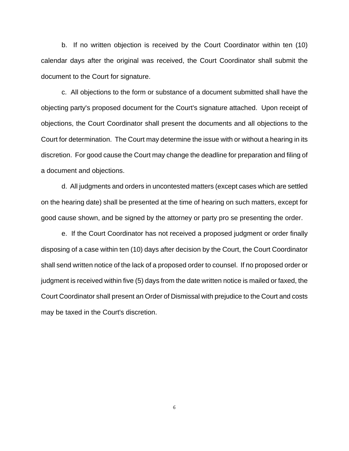b. If no written objection is received by the Court Coordinator within ten (10) calendar days after the original was received, the Court Coordinator shall submit the document to the Court for signature.

c. All objections to the form or substance of a document submitted shall have the objecting party's proposed document for the Court's signature attached. Upon receipt of objections, the Court Coordinator shall present the documents and all objections to the Court for determination. The Court may determine the issue with or without a hearing in its discretion. For good cause the Court may change the deadline for preparation and filing of a document and objections.

d. All judgments and orders in uncontested matters (except cases which are settled on the hearing date) shall be presented at the time of hearing on such matters, except for good cause shown, and be signed by the attorney or party pro se presenting the order.

e. If the Court Coordinator has not received a proposed judgment or order finally disposing of a case within ten (10) days after decision by the Court, the Court Coordinator shall send written notice of the lack of a proposed order to counsel. If no proposed order or judgment is received within five (5) days from the date written notice is mailed or faxed, the Court Coordinator shall present an Order of Dismissal with prejudice to the Court and costs may be taxed in the Court's discretion.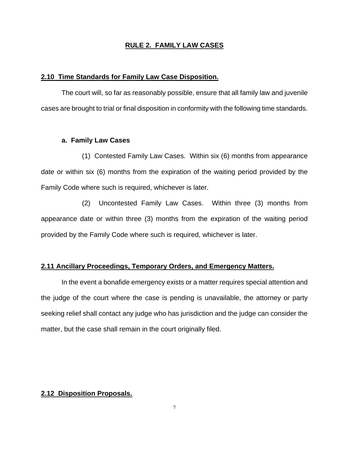### **RULE 2. FAMILY LAW CASES**

#### **2.10 Time Standards for Family Law Case Disposition.**

The court will, so far as reasonably possible, ensure that all family law and juvenile cases are brought to trial or final disposition in conformity with the following time standards.

### **a. Family Law Cases**

(1) Contested Family Law Cases. Within six (6) months from appearance date or within six (6) months from the expiration of the waiting period provided by the Family Code where such is required, whichever is later.

(2) Uncontested Family Law Cases. Within three (3) months from appearance date or within three (3) months from the expiration of the waiting period provided by the Family Code where such is required, whichever is later.

## **2.11 Ancillary Proceedings, Temporary Orders, and Emergency Matters.**

In the event a bonafide emergency exists or a matter requires special attention and the judge of the court where the case is pending is unavailable, the attorney or party seeking relief shall contact any judge who has jurisdiction and the judge can consider the matter, but the case shall remain in the court originally filed.

# **2.12 Disposition Proposals.**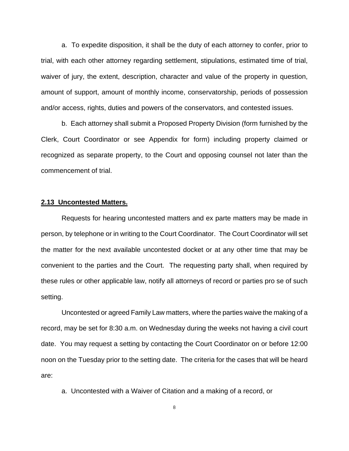a. To expedite disposition, it shall be the duty of each attorney to confer, prior to trial, with each other attorney regarding settlement, stipulations, estimated time of trial, waiver of jury, the extent, description, character and value of the property in question, amount of support, amount of monthly income, conservatorship, periods of possession and/or access, rights, duties and powers of the conservators, and contested issues.

b. Each attorney shall submit a Proposed Property Division (form furnished by the Clerk, Court Coordinator or see Appendix for form) including property claimed or recognized as separate property, to the Court and opposing counsel not later than the commencement of trial.

### **2.13 Uncontested Matters.**

Requests for hearing uncontested matters and ex parte matters may be made in person, by telephone or in writing to the Court Coordinator. The Court Coordinator will set the matter for the next available uncontested docket or at any other time that may be convenient to the parties and the Court. The requesting party shall, when required by these rules or other applicable law, notify all attorneys of record or parties pro se of such setting.

Uncontested or agreed Family Law matters, where the parties waive the making of a record, may be set for 8:30 a.m. on Wednesday during the weeks not having a civil court date. You may request a setting by contacting the Court Coordinator on or before 12:00 noon on the Tuesday prior to the setting date. The criteria for the cases that will be heard are:

a. Uncontested with a Waiver of Citation and a making of a record, or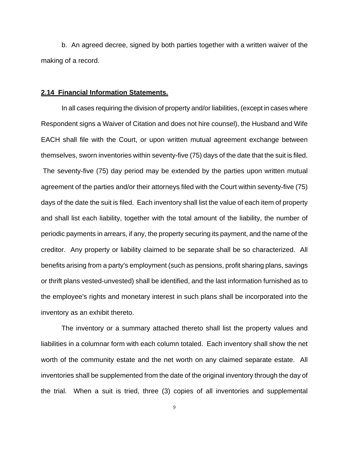b. An agreed decree, signed by both parties together with a written waiver of the making of a record.

#### **2.14 Financial Information Statements.**

In all cases requiring the division of property and/or liabilities, (except in cases where Respondent signs a Waiver of Citation and does not hire counsel), the Husband and Wife EACH shall file with the Court, or upon written mutual agreement exchange between themselves, sworn inventories within seventy-five (75) days of the date that the suit is filed. The seventy-five (75) day period may be extended by the parties upon written mutual agreement of the parties and/or their attorneys filed with the Court within seventy-five (75) days of the date the suit is filed. Each inventory shall list the value of each item of property and shall list each liability, together with the total amount of the liability, the number of periodic payments in arrears, if any, the property securing its payment, and the name of the creditor. Any property or liability claimed to be separate shall be so characterized. All benefits arising from a party's employment (such as pensions, profit sharing plans, savings or thrift plans vested-unvested) shall be identified, and the last information furnished as to the employee's rights and monetary interest in such plans shall be incorporated into the inventory as an exhibit thereto.

The inventory or a summary attached thereto shall list the property values and liabilities in a columnar form with each column totaled. Each inventory shall show the net worth of the community estate and the net worth on any claimed separate estate. All inventories shall be supplemented from the date of the original inventory through the day of the trial. When a suit is tried, three (3) copies of all inventories and supplemental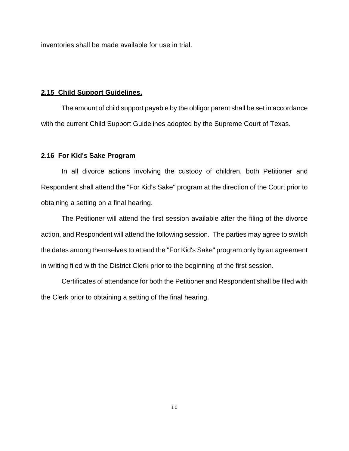inventories shall be made available for use in trial.

#### **2.15 Child Support Guidelines.**

The amount of child support payable by the obligor parent shall be set in accordance with the current Child Support Guidelines adopted by the Supreme Court of Texas.

#### **2.16 For Kid's Sake Program**

In all divorce actions involving the custody of children, both Petitioner and Respondent shall attend the "For Kid's Sake" program at the direction of the Court prior to obtaining a setting on a final hearing.

The Petitioner will attend the first session available after the filing of the divorce action, and Respondent will attend the following session. The parties may agree to switch the dates among themselves to attend the "For Kid's Sake" program only by an agreement in writing filed with the District Clerk prior to the beginning of the first session.

Certificates of attendance for both the Petitioner and Respondent shall be filed with the Clerk prior to obtaining a setting of the final hearing.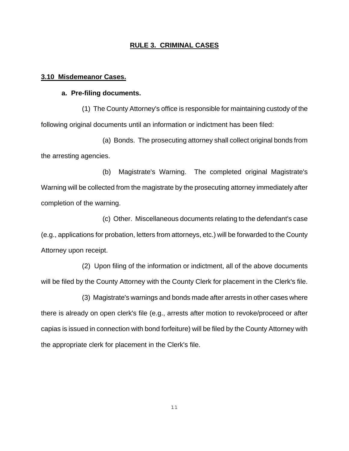### **RULE 3. CRIMINAL CASES**

#### **3.10 Misdemeanor Cases.**

# **a. Pre-filing documents.**

(1) The County Attorney's office is responsible for maintaining custody of the following original documents until an information or indictment has been filed:

(a) Bonds. The prosecuting attorney shall collect original bonds from the arresting agencies.

(b) Magistrate's Warning. The completed original Magistrate's Warning will be collected from the magistrate by the prosecuting attorney immediately after completion of the warning.

(c) Other. Miscellaneous documents relating to the defendant's case (e.g., applications for probation, letters from attorneys, etc.) will be forwarded to the County Attorney upon receipt.

(2) Upon filing of the information or indictment, all of the above documents will be filed by the County Attorney with the County Clerk for placement in the Clerk's file.

(3) Magistrate's warnings and bonds made after arrests in other cases where there is already on open clerk's file (e.g., arrests after motion to revoke/proceed or after capias is issued in connection with bond forfeiture) will be filed by the County Attorney with the appropriate clerk for placement in the Clerk's file.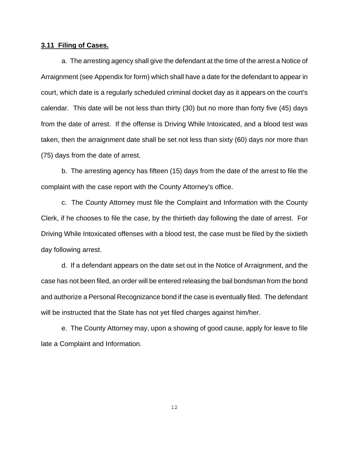### **3.11 Filing of Cases.**

a. The arresting agency shall give the defendant at the time of the arrest a Notice of Arraignment (see Appendix for form) which shall have a date for the defendant to appear in court, which date is a regularly scheduled criminal docket day as it appears on the court's calendar. This date will be not less than thirty (30) but no more than forty five (45) days from the date of arrest. If the offense is Driving While Intoxicated, and a blood test was taken, then the arraignment date shall be set not less than sixty (60) days nor more than (75) days from the date of arrest.

b. The arresting agency has fifteen (15) days from the date of the arrest to file the complaint with the case report with the County Attorney's office.

c. The County Attorney must file the Complaint and Information with the County Clerk, if he chooses to file the case, by the thirtieth day following the date of arrest. For Driving While Intoxicated offenses with a blood test, the case must be filed by the sixtieth day following arrest.

d. If a defendant appears on the date set out in the Notice of Arraignment, and the case has not been filed, an order will be entered releasing the bail bondsman from the bond and authorize a Personal Recognizance bond if the case is eventually filed. The defendant will be instructed that the State has not yet filed charges against him/her.

e. The County Attorney may, upon a showing of good cause, apply for leave to file late a Complaint and Information.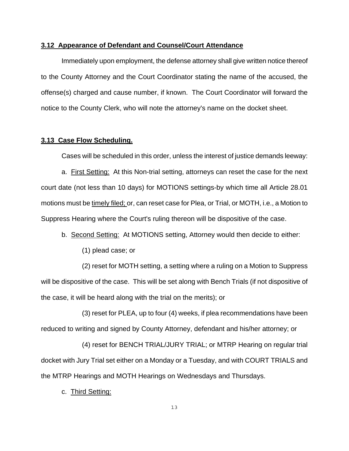## **3.12 Appearance of Defendant and Counsel/Court Attendance**

Immediately upon employment, the defense attorney shall give written notice thereof to the County Attorney and the Court Coordinator stating the name of the accused, the offense(s) charged and cause number, if known. The Court Coordinator will forward the notice to the County Clerk, who will note the attorney's name on the docket sheet.

## **3.13 Case Flow Scheduling.**

Cases will be scheduled in this order, unless the interest of justice demands leeway:

a. First Setting: At this Non-trial setting, attorneys can reset the case for the next court date (not less than 10 days) for MOTIONS settings-by which time all Article 28.01 motions must be timely filed; or, can reset case for Plea, or Trial, or MOTH, i.e., a Motion to Suppress Hearing where the Court's ruling thereon will be dispositive of the case.

- b. Second Setting: At MOTIONS setting, Attorney would then decide to either:
	- (1) plead case; or

(2) reset for MOTH setting, a setting where a ruling on a Motion to Suppress will be dispositive of the case. This will be set along with Bench Trials (if not dispositive of the case, it will be heard along with the trial on the merits); or

(3) reset for PLEA, up to four (4) weeks, if plea recommendations have been reduced to writing and signed by County Attorney, defendant and his/her attorney; or

(4) reset for BENCH TRIAL/JURY TRIAL; or MTRP Hearing on regular trial docket with Jury Trial set either on a Monday or a Tuesday, and with COURT TRIALS and the MTRP Hearings and MOTH Hearings on Wednesdays and Thursdays.

c. Third Setting: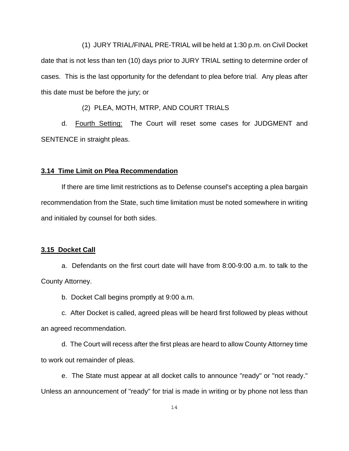(1) JURY TRIAL/FINAL PRE-TRIAL will be held at 1:30 p.m. on Civil Docket date that is not less than ten (10) days prior to JURY TRIAL setting to determine order of cases. This is the last opportunity for the defendant to plea before trial. Any pleas after this date must be before the jury; or

(2) PLEA, MOTH, MTRP, AND COURT TRIALS

d. Fourth Setting: The Court will reset some cases for JUDGMENT and SENTENCE in straight pleas.

#### **3.14 Time Limit on Plea Recommendation**

If there are time limit restrictions as to Defense counsel's accepting a plea bargain recommendation from the State, such time limitation must be noted somewhere in writing and initialed by counsel for both sides.

#### **3.15 Docket Call**

a. Defendants on the first court date will have from 8:00-9:00 a.m. to talk to the County Attorney.

b. Docket Call begins promptly at 9:00 a.m.

c. After Docket is called, agreed pleas will be heard first followed by pleas without an agreed recommendation.

d. The Court will recess after the first pleas are heard to allow County Attorney time to work out remainder of pleas.

e. The State must appear at all docket calls to announce "ready" or "not ready." Unless an announcement of "ready" for trial is made in writing or by phone not less than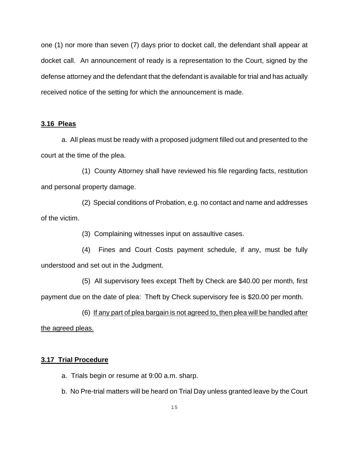one (1) nor more than seven (7) days prior to docket call, the defendant shall appear at docket call. An announcement of ready is a representation to the Court, signed by the defense attorney and the defendant that the defendant is available for trial and has actually received notice of the setting for which the announcement is made.

# **3.16 Pleas**

a. All pleas must be ready with a proposed judgment filled out and presented to the court at the time of the plea.

(1) County Attorney shall have reviewed his file regarding facts, restitution and personal property damage.

(2) Special conditions of Probation, e.g. no contact and name and addresses of the victim.

(3) Complaining witnesses input on assaultive cases.

(4) Fines and Court Costs payment schedule, if any, must be fully understood and set out in the Judgment.

(5) All supervisory fees except Theft by Check are \$40.00 per month, first

payment due on the date of plea: Theft by Check supervisory fee is \$20.00 per month.

(6) If any part of plea bargain is not agreed to, then plea will be handled after the agreed pleas.

# **3.17 Trial Procedure**

- a. Trials begin or resume at 9:00 a.m. sharp.
- b. No Pre-trial matters will be heard on Trial Day unless granted leave by the Court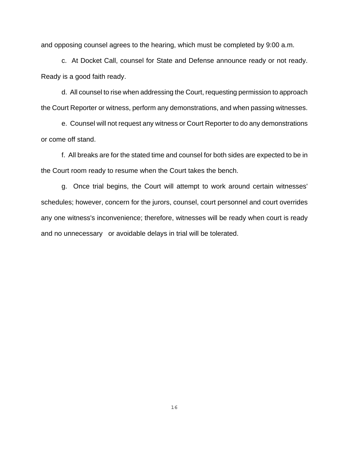and opposing counsel agrees to the hearing, which must be completed by 9:00 a.m.

c. At Docket Call, counsel for State and Defense announce ready or not ready. Ready is a good faith ready.

d. All counsel to rise when addressing the Court, requesting permission to approach the Court Reporter or witness, perform any demonstrations, and when passing witnesses.

e. Counsel will not request any witness or Court Reporter to do any demonstrations or come off stand.

f. All breaks are for the stated time and counsel for both sides are expected to be in the Court room ready to resume when the Court takes the bench.

g. Once trial begins, the Court will attempt to work around certain witnesses' schedules; however, concern for the jurors, counsel, court personnel and court overrides any one witness's inconvenience; therefore, witnesses will be ready when court is ready and no unnecessary or avoidable delays in trial will be tolerated.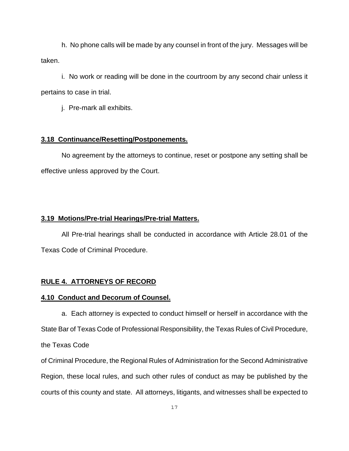h. No phone calls will be made by any counsel in front of the jury. Messages will be taken.

i. No work or reading will be done in the courtroom by any second chair unless it pertains to case in trial.

j. Pre-mark all exhibits.

### **3.18 Continuance/Resetting/Postponements.**

No agreement by the attorneys to continue, reset or postpone any setting shall be effective unless approved by the Court.

### **3.19 Motions/Pre-trial Hearings/Pre-trial Matters.**

All Pre-trial hearings shall be conducted in accordance with Article 28.01 of the Texas Code of Criminal Procedure.

# **RULE 4. ATTORNEYS OF RECORD**

# **4.10 Conduct and Decorum of Counsel.**

a. Each attorney is expected to conduct himself or herself in accordance with the State Bar of Texas Code of Professional Responsibility, the Texas Rules of Civil Procedure, the Texas Code

of Criminal Procedure, the Regional Rules of Administration for the Second Administrative Region, these local rules, and such other rules of conduct as may be published by the courts of this county and state. All attorneys, litigants, and witnesses shall be expected to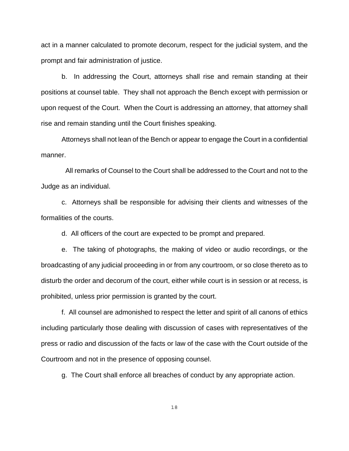act in a manner calculated to promote decorum, respect for the judicial system, and the prompt and fair administration of justice.

b. In addressing the Court, attorneys shall rise and remain standing at their positions at counsel table. They shall not approach the Bench except with permission or upon request of the Court. When the Court is addressing an attorney, that attorney shall rise and remain standing until the Court finishes speaking.

Attorneys shall not lean of the Bench or appear to engage the Court in a confidential manner.

 All remarks of Counsel to the Court shall be addressed to the Court and not to the Judge as an individual.

c. Attorneys shall be responsible for advising their clients and witnesses of the formalities of the courts.

d. All officers of the court are expected to be prompt and prepared.

e. The taking of photographs, the making of video or audio recordings, or the broadcasting of any judicial proceeding in or from any courtroom, or so close thereto as to disturb the order and decorum of the court, either while court is in session or at recess, is prohibited, unless prior permission is granted by the court.

f. All counsel are admonished to respect the letter and spirit of all canons of ethics including particularly those dealing with discussion of cases with representatives of the press or radio and discussion of the facts or law of the case with the Court outside of the Courtroom and not in the presence of opposing counsel.

g. The Court shall enforce all breaches of conduct by any appropriate action.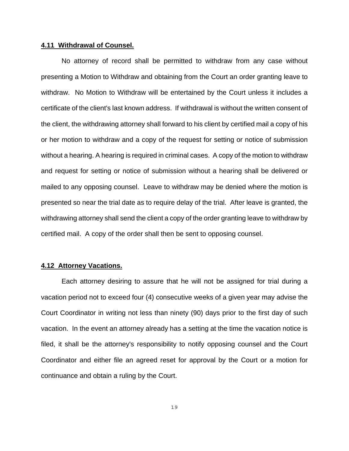### **4.11 Withdrawal of Counsel.**

No attorney of record shall be permitted to withdraw from any case without presenting a Motion to Withdraw and obtaining from the Court an order granting leave to withdraw. No Motion to Withdraw will be entertained by the Court unless it includes a certificate of the client's last known address. If withdrawal is without the written consent of the client, the withdrawing attorney shall forward to his client by certified mail a copy of his or her motion to withdraw and a copy of the request for setting or notice of submission without a hearing. A hearing is required in criminal cases. A copy of the motion to withdraw and request for setting or notice of submission without a hearing shall be delivered or mailed to any opposing counsel. Leave to withdraw may be denied where the motion is presented so near the trial date as to require delay of the trial. After leave is granted, the withdrawing attorney shall send the client a copy of the order granting leave to withdraw by certified mail. A copy of the order shall then be sent to opposing counsel.

### **4.12 Attorney Vacations.**

Each attorney desiring to assure that he will not be assigned for trial during a vacation period not to exceed four (4) consecutive weeks of a given year may advise the Court Coordinator in writing not less than ninety (90) days prior to the first day of such vacation. In the event an attorney already has a setting at the time the vacation notice is filed, it shall be the attorney's responsibility to notify opposing counsel and the Court Coordinator and either file an agreed reset for approval by the Court or a motion for continuance and obtain a ruling by the Court.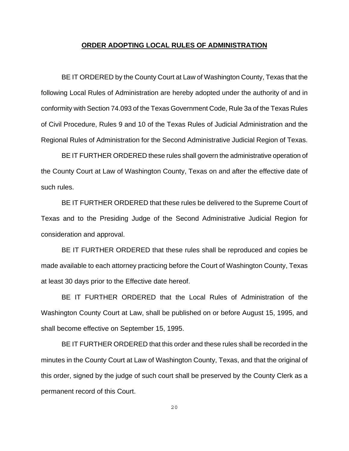#### **ORDER ADOPTING LOCAL RULES OF ADMINISTRATION**

BE IT ORDERED by the County Court at Law of Washington County, Texas that the following Local Rules of Administration are hereby adopted under the authority of and in conformity with Section 74.093 of the Texas Government Code, Rule 3a of the Texas Rules of Civil Procedure, Rules 9 and 10 of the Texas Rules of Judicial Administration and the Regional Rules of Administration for the Second Administrative Judicial Region of Texas.

BE IT FURTHER ORDERED these rules shall govern the administrative operation of the County Court at Law of Washington County, Texas on and after the effective date of such rules.

BE IT FURTHER ORDERED that these rules be delivered to the Supreme Court of Texas and to the Presiding Judge of the Second Administrative Judicial Region for consideration and approval.

BE IT FURTHER ORDERED that these rules shall be reproduced and copies be made available to each attorney practicing before the Court of Washington County, Texas at least 30 days prior to the Effective date hereof.

BE IT FURTHER ORDERED that the Local Rules of Administration of the Washington County Court at Law, shall be published on or before August 15, 1995, and shall become effective on September 15, 1995.

BE IT FURTHER ORDERED that this order and these rules shall be recorded in the minutes in the County Court at Law of Washington County, Texas, and that the original of this order, signed by the judge of such court shall be preserved by the County Clerk as a permanent record of this Court.